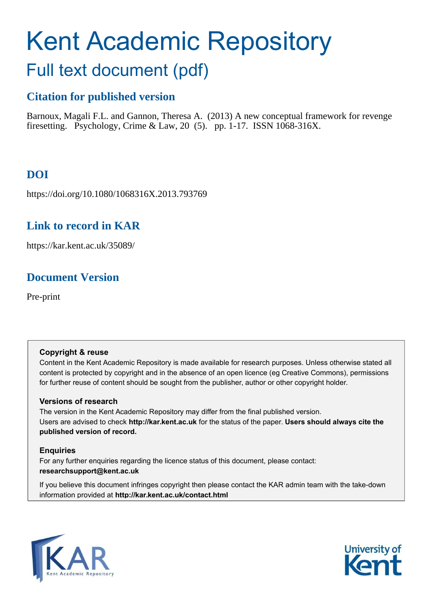# Kent Academic Repository

## Full text document (pdf)

## **Citation for published version**

Barnoux, Magali F.L. and Gannon, Theresa A. (2013) A new conceptual framework for revenge firesetting. Psychology, Crime & Law, 20 (5). pp. 1-17. ISSN 1068-316X.

## **DOI**

https://doi.org/10.1080/1068316X.2013.793769

### **Link to record in KAR**

https://kar.kent.ac.uk/35089/

## **Document Version**

Pre-print

#### **Copyright & reuse**

Content in the Kent Academic Repository is made available for research purposes. Unless otherwise stated all content is protected by copyright and in the absence of an open licence (eg Creative Commons), permissions for further reuse of content should be sought from the publisher, author or other copyright holder.

#### **Versions of research**

The version in the Kent Academic Repository may differ from the final published version. Users are advised to check **http://kar.kent.ac.uk** for the status of the paper. **Users should always cite the published version of record.**

#### **Enquiries**

For any further enquiries regarding the licence status of this document, please contact: **researchsupport@kent.ac.uk**

If you believe this document infringes copyright then please contact the KAR admin team with the take-down information provided at **http://kar.kent.ac.uk/contact.html**



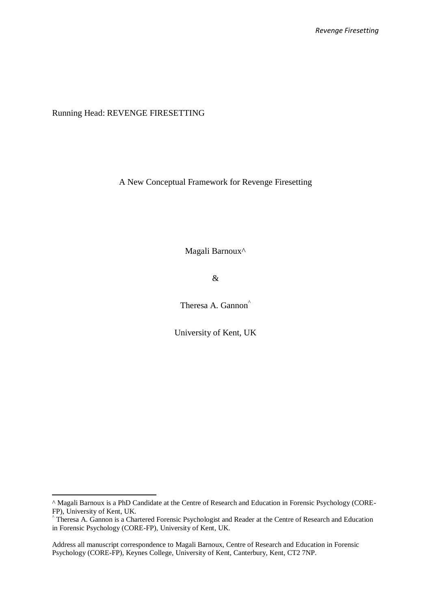Running Head: REVENGE FIRESETTING

.

A New Conceptual Framework for Revenge Firesetting

Magali Barnoux^

&

Theresa A. Gannon<sup>^</sup>

University of Kent, UK

<sup>^</sup> Magali Barnoux is a PhD Candidate at the Centre of Research and Education in Forensic Psychology (CORE-FP), University of Kent, UK.

<sup>^</sup> Theresa A. Gannon is a Chartered Forensic Psychologist and Reader at the Centre of Research and Education in Forensic Psychology (CORE-FP), University of Kent, UK.

Address all manuscript correspondence to Magali Barnoux, Centre of Research and Education in Forensic Psychology (CORE-FP), Keynes College, University of Kent, Canterbury, Kent, CT2 7NP.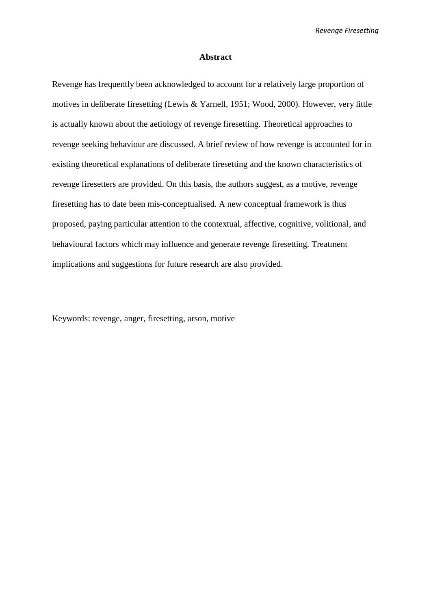#### **Abstract**

Revenge has frequently been acknowledged to account for a relatively large proportion of motives in deliberate firesetting (Lewis & Yarnell, 1951; Wood, 2000). However, very little is actually known about the aetiology of revenge firesetting. Theoretical approaches to revenge seeking behaviour are discussed. A brief review of how revenge is accounted for in existing theoretical explanations of deliberate firesetting and the known characteristics of revenge firesetters are provided. On this basis, the authors suggest, as a motive, revenge firesetting has to date been mis-conceptualised. A new conceptual framework is thus proposed, paying particular attention to the contextual, affective, cognitive, volitional, and behavioural factors which may influence and generate revenge firesetting. Treatment implications and suggestions for future research are also provided.

Keywords: revenge, anger, firesetting, arson, motive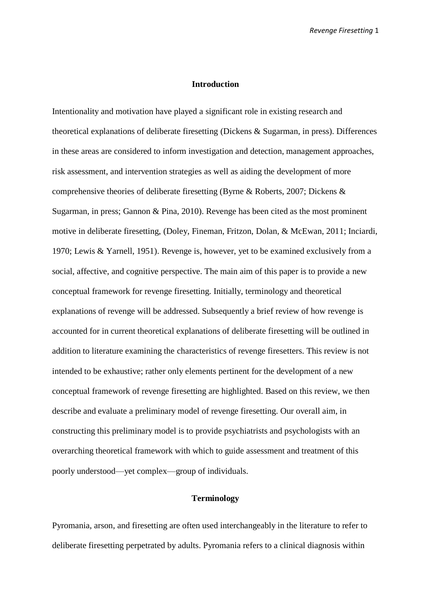#### **Introduction**

Intentionality and motivation have played a significant role in existing research and theoretical explanations of deliberate firesetting (Dickens & Sugarman, in press). Differences in these areas are considered to inform investigation and detection, management approaches, risk assessment, and intervention strategies as well as aiding the development of more comprehensive theories of deliberate firesetting (Byrne & Roberts, 2007; Dickens & Sugarman, in press; Gannon & Pina, 2010). Revenge has been cited as the most prominent motive in deliberate firesetting, (Doley, Fineman, Fritzon, Dolan, & McEwan, 2011; Inciardi, 1970; Lewis & Yarnell, 1951). Revenge is, however, yet to be examined exclusively from a social, affective, and cognitive perspective. The main aim of this paper is to provide a new conceptual framework for revenge firesetting. Initially, terminology and theoretical explanations of revenge will be addressed. Subsequently a brief review of how revenge is accounted for in current theoretical explanations of deliberate firesetting will be outlined in addition to literature examining the characteristics of revenge firesetters. This review is not intended to be exhaustive; rather only elements pertinent for the development of a new conceptual framework of revenge firesetting are highlighted. Based on this review, we then describe and evaluate a preliminary model of revenge firesetting. Our overall aim, in constructing this preliminary model is to provide psychiatrists and psychologists with an overarching theoretical framework with which to guide assessment and treatment of this poorly understood—yet complex—group of individuals.

#### **Terminology**

Pyromania, arson, and firesetting are often used interchangeably in the literature to refer to deliberate firesetting perpetrated by adults. Pyromania refers to a clinical diagnosis within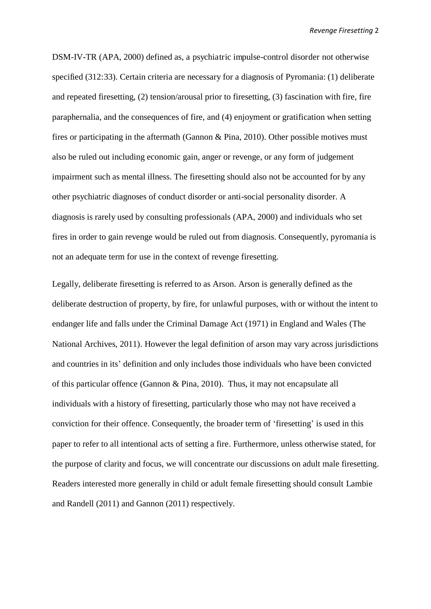DSM-IV-TR (APA, 2000) defined as, a psychiatric impulse-control disorder not otherwise specified (312:33). Certain criteria are necessary for a diagnosis of Pyromania: (1) deliberate and repeated firesetting, (2) tension/arousal prior to firesetting, (3) fascination with fire, fire paraphernalia, and the consequences of fire, and (4) enjoyment or gratification when setting fires or participating in the aftermath (Gannon & Pina, 2010). Other possible motives must also be ruled out including economic gain, anger or revenge, or any form of judgement impairment such as mental illness. The firesetting should also not be accounted for by any other psychiatric diagnoses of conduct disorder or anti-social personality disorder. A diagnosis is rarely used by consulting professionals (APA, 2000) and individuals who set fires in order to gain revenge would be ruled out from diagnosis. Consequently, pyromania is not an adequate term for use in the context of revenge firesetting.

Legally, deliberate firesetting is referred to as Arson. Arson is generally defined as the deliberate destruction of property, by fire, for unlawful purposes, with or without the intent to endanger life and falls under the Criminal Damage Act (1971) in England and Wales (The National Archives, 2011). However the legal definition of arson may vary across jurisdictions and countries in its' definition and only includes those individuals who have been convicted of this particular offence (Gannon & Pina, 2010). Thus, it may not encapsulate all individuals with a history of firesetting, particularly those who may not have received a conviction for their offence. Consequently, the broader term of 'firesetting' is used in this paper to refer to all intentional acts of setting a fire. Furthermore, unless otherwise stated, for the purpose of clarity and focus, we will concentrate our discussions on adult male firesetting. Readers interested more generally in child or adult female firesetting should consult Lambie and Randell (2011) and Gannon (2011) respectively.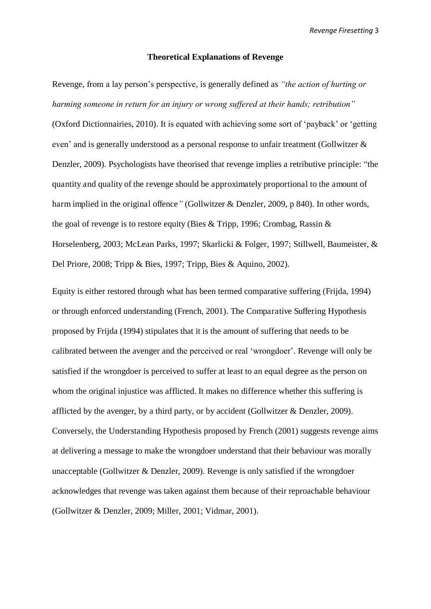#### **Theoretical Explanations of Revenge**

Revenge, from a lay person's perspective, is generally defined as *"the action of hurting or harming someone in return for an injury or wrong suffered at their hands; retribution"* (Oxford Dictionnairies, 2010). It is equated with achieving some sort of 'payback' or 'getting even' and is generally understood as a personal response to unfair treatment (Gollwitzer & Denzler, 2009). Psychologists have theorised that revenge implies a retributive principle: "the quantity and quality of the revenge should be approximately proportional to the amount of harm implied in the original offence*"* (Gollwitzer & Denzler, 2009, p 840). In other words, the goal of revenge is to restore equity (Bies & Tripp, 1996; Crombag, Rassin & Horselenberg, 2003; McLean Parks, 1997; Skarlicki & Folger, 1997; Stillwell, Baumeister, & Del Priore, 2008; Tripp & Bies, 1997; Tripp, Bies & Aquino, 2002).

Equity is either restored through what has been termed comparative suffering (Frijda, 1994) or through enforced understanding (French, 2001). The Comparative Suffering Hypothesis proposed by Frijda (1994) stipulates that it is the amount of suffering that needs to be calibrated between the avenger and the perceived or real 'wrongdoer'. Revenge will only be satisfied if the wrongdoer is perceived to suffer at least to an equal degree as the person on whom the original injustice was afflicted. It makes no difference whether this suffering is afflicted by the avenger, by a third party, or by accident (Gollwitzer & Denzler, 2009). Conversely, the Understanding Hypothesis proposed by French (2001) suggests revenge aims at delivering a message to make the wrongdoer understand that their behaviour was morally unacceptable (Gollwitzer & Denzler, 2009). Revenge is only satisfied if the wrongdoer acknowledges that revenge was taken against them because of their reproachable behaviour (Gollwitzer & Denzler, 2009; Miller, 2001; Vidmar, 2001).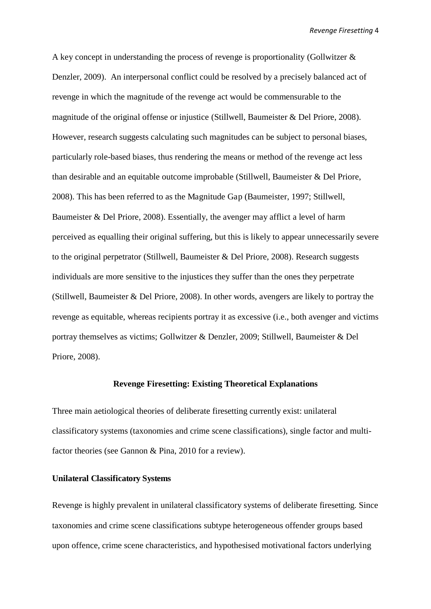A key concept in understanding the process of revenge is proportionality (Gollwitzer & Denzler, 2009). An interpersonal conflict could be resolved by a precisely balanced act of revenge in which the magnitude of the revenge act would be commensurable to the magnitude of the original offense or injustice (Stillwell, Baumeister & Del Priore, 2008). However, research suggests calculating such magnitudes can be subject to personal biases, particularly role-based biases, thus rendering the means or method of the revenge act less than desirable and an equitable outcome improbable (Stillwell, Baumeister & Del Priore, 2008). This has been referred to as the Magnitude Gap (Baumeister, 1997; Stillwell, Baumeister & Del Priore, 2008). Essentially, the avenger may afflict a level of harm perceived as equalling their original suffering, but this is likely to appear unnecessarily severe to the original perpetrator (Stillwell, Baumeister & Del Priore, 2008). Research suggests individuals are more sensitive to the injustices they suffer than the ones they perpetrate (Stillwell, Baumeister & Del Priore, 2008). In other words, avengers are likely to portray the revenge as equitable, whereas recipients portray it as excessive (i.e., both avenger and victims portray themselves as victims; Gollwitzer & Denzler, 2009; Stillwell, Baumeister & Del Priore, 2008).

#### **Revenge Firesetting: Existing Theoretical Explanations**

Three main aetiological theories of deliberate firesetting currently exist: unilateral classificatory systems (taxonomies and crime scene classifications), single factor and multifactor theories (see Gannon & Pina, 2010 for a review).

#### **Unilateral Classificatory Systems**

Revenge is highly prevalent in unilateral classificatory systems of deliberate firesetting. Since taxonomies and crime scene classifications subtype heterogeneous offender groups based upon offence, crime scene characteristics, and hypothesised motivational factors underlying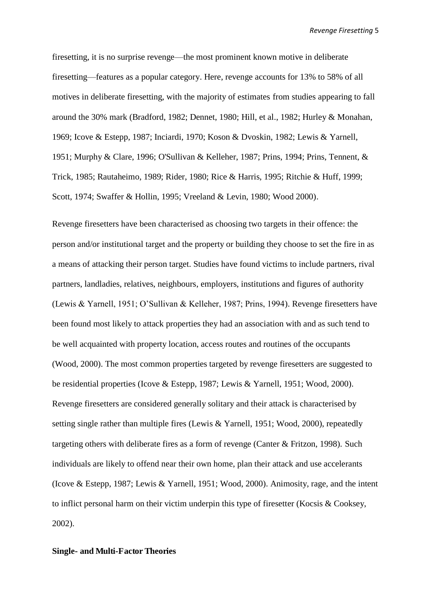firesetting, it is no surprise revenge—the most prominent known motive in deliberate firesetting—features as a popular category. Here, revenge accounts for 13% to 58% of all motives in deliberate firesetting, with the majority of estimates from studies appearing to fall around the 30% mark (Bradford, 1982; Dennet, 1980; Hill, et al., 1982; Hurley & Monahan, 1969; Icove & Estepp, 1987; Inciardi, 1970; Koson & Dvoskin, 1982; Lewis & Yarnell, 1951; Murphy & Clare, 1996; O'Sullivan & Kelleher, 1987; Prins, 1994; Prins, Tennent, & Trick, 1985; Rautaheimo, 1989; Rider, 1980; Rice & Harris, 1995; Ritchie & Huff, 1999; Scott, 1974; Swaffer & Hollin, 1995; Vreeland & Levin, 1980; Wood 2000).

Revenge firesetters have been characterised as choosing two targets in their offence: the person and/or institutional target and the property or building they choose to set the fire in as a means of attacking their person target. Studies have found victims to include partners, rival partners, landladies, relatives, neighbours, employers, institutions and figures of authority (Lewis & Yarnell, 1951; O'Sullivan & Kelleher, 1987; Prins, 1994). Revenge firesetters have been found most likely to attack properties they had an association with and as such tend to be well acquainted with property location, access routes and routines of the occupants (Wood, 2000). The most common properties targeted by revenge firesetters are suggested to be residential properties (Icove & Estepp, 1987; Lewis & Yarnell, 1951; Wood, 2000). Revenge firesetters are considered generally solitary and their attack is characterised by setting single rather than multiple fires (Lewis & Yarnell, 1951; Wood, 2000), repeatedly targeting others with deliberate fires as a form of revenge (Canter & Fritzon, 1998). Such individuals are likely to offend near their own home, plan their attack and use accelerants (Icove & Estepp, 1987; Lewis & Yarnell, 1951; Wood, 2000). Animosity, rage, and the intent to inflict personal harm on their victim underpin this type of firesetter (Kocsis & Cooksey, 2002).

#### **Single- and Multi-Factor Theories**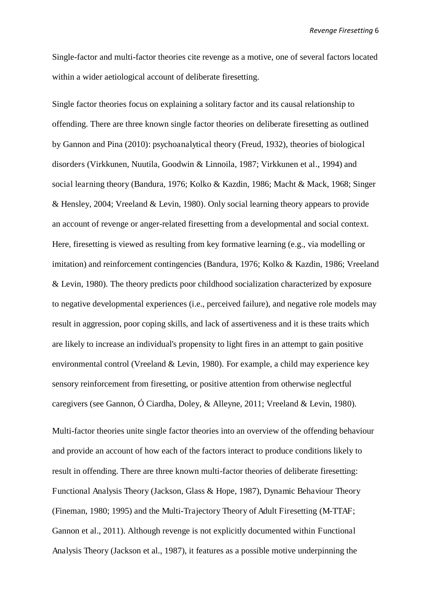Single-factor and multi-factor theories cite revenge as a motive, one of several factors located within a wider aetiological account of deliberate firesetting.

Single factor theories focus on explaining a solitary factor and its causal relationship to offending. There are three known single factor theories on deliberate firesetting as outlined by Gannon and Pina (2010): psychoanalytical theory (Freud, 1932), theories of biological disorders (Virkkunen, Nuutila, Goodwin & Linnoila, 1987; Virkkunen et al., 1994) and social learning theory (Bandura, 1976; Kolko & Kazdin, 1986; Macht & Mack, 1968; Singer & Hensley, 2004; Vreeland & Levin, 1980). Only social learning theory appears to provide an account of revenge or anger-related firesetting from a developmental and social context. Here, firesetting is viewed as resulting from key formative learning (e.g., via modelling or imitation) and reinforcement contingencies (Bandura, 1976; Kolko & Kazdin, 1986; Vreeland & Levin, 1980). The theory predicts poor childhood socialization characterized by exposure to negative developmental experiences (i.e., perceived failure), and negative role models may result in aggression, poor coping skills, and lack of assertiveness and it is these traits which are likely to increase an individual's propensity to light fires in an attempt to gain positive environmental control (Vreeland & Levin, 1980). For example, a child may experience key sensory reinforcement from firesetting, or positive attention from otherwise neglectful caregivers (see Gannon, Ó Ciardha, Doley, & Alleyne, 2011; Vreeland & Levin, 1980).

Multi-factor theories unite single factor theories into an overview of the offending behaviour and provide an account of how each of the factors interact to produce conditions likely to result in offending. There are three known multi-factor theories of deliberate firesetting: Functional Analysis Theory (Jackson, Glass & Hope, 1987), Dynamic Behaviour Theory (Fineman, 1980; 1995) and the Multi-Trajectory Theory of Adult Firesetting (M-TTAF; Gannon et al., 2011). Although revenge is not explicitly documented within Functional Analysis Theory (Jackson et al., 1987), it features as a possible motive underpinning the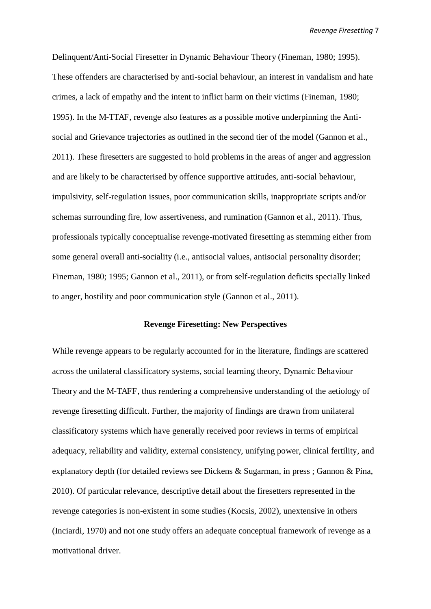Delinquent/Anti-Social Firesetter in Dynamic Behaviour Theory (Fineman, 1980; 1995). These offenders are characterised by anti-social behaviour, an interest in vandalism and hate crimes, a lack of empathy and the intent to inflict harm on their victims (Fineman, 1980; 1995). In the M-TTAF, revenge also features as a possible motive underpinning the Antisocial and Grievance trajectories as outlined in the second tier of the model (Gannon et al., 2011). These firesetters are suggested to hold problems in the areas of anger and aggression and are likely to be characterised by offence supportive attitudes, anti-social behaviour, impulsivity, self-regulation issues, poor communication skills, inappropriate scripts and/or schemas surrounding fire, low assertiveness, and rumination (Gannon et al., 2011). Thus, professionals typically conceptualise revenge-motivated firesetting as stemming either from some general overall anti-sociality (i.e., antisocial values, antisocial personality disorder; Fineman, 1980; 1995; Gannon et al., 2011), or from self-regulation deficits specially linked to anger, hostility and poor communication style (Gannon et al., 2011).

#### **Revenge Firesetting: New Perspectives**

While revenge appears to be regularly accounted for in the literature, findings are scattered across the unilateral classificatory systems, social learning theory, Dynamic Behaviour Theory and the M-TAFF, thus rendering a comprehensive understanding of the aetiology of revenge firesetting difficult. Further, the majority of findings are drawn from unilateral classificatory systems which have generally received poor reviews in terms of empirical adequacy, reliability and validity, external consistency, unifying power, clinical fertility, and explanatory depth (for detailed reviews see Dickens & Sugarman, in press ; Gannon & Pina, 2010). Of particular relevance, descriptive detail about the firesetters represented in the revenge categories is non-existent in some studies (Kocsis, 2002), unextensive in others (Inciardi, 1970) and not one study offers an adequate conceptual framework of revenge as a motivational driver.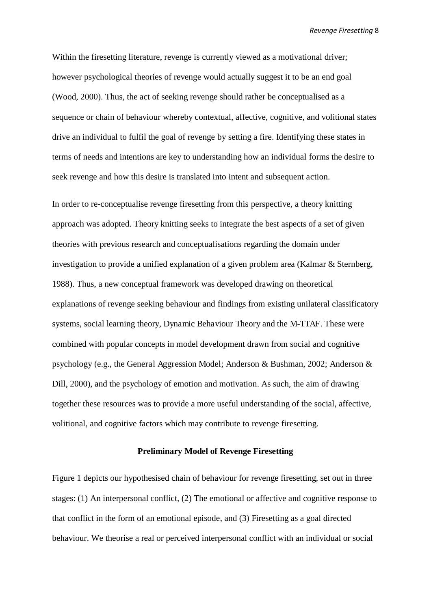Within the firesetting literature, revenge is currently viewed as a motivational driver; however psychological theories of revenge would actually suggest it to be an end goal (Wood, 2000). Thus, the act of seeking revenge should rather be conceptualised as a sequence or chain of behaviour whereby contextual, affective, cognitive, and volitional states drive an individual to fulfil the goal of revenge by setting a fire. Identifying these states in terms of needs and intentions are key to understanding how an individual forms the desire to seek revenge and how this desire is translated into intent and subsequent action.

In order to re-conceptualise revenge firesetting from this perspective, a theory knitting approach was adopted. Theory knitting seeks to integrate the best aspects of a set of given theories with previous research and conceptualisations regarding the domain under investigation to provide a unified explanation of a given problem area (Kalmar & Sternberg, 1988). Thus, a new conceptual framework was developed drawing on theoretical explanations of revenge seeking behaviour and findings from existing unilateral classificatory systems, social learning theory, Dynamic Behaviour Theory and the M-TTAF. These were combined with popular concepts in model development drawn from social and cognitive psychology (e.g., the General Aggression Model; Anderson & Bushman, 2002; Anderson & Dill, 2000), and the psychology of emotion and motivation. As such, the aim of drawing together these resources was to provide a more useful understanding of the social, affective, volitional, and cognitive factors which may contribute to revenge firesetting.

#### **Preliminary Model of Revenge Firesetting**

Figure 1 depicts our hypothesised chain of behaviour for revenge firesetting, set out in three stages: (1) An interpersonal conflict, (2) The emotional or affective and cognitive response to that conflict in the form of an emotional episode, and (3) Firesetting as a goal directed behaviour. We theorise a real or perceived interpersonal conflict with an individual or social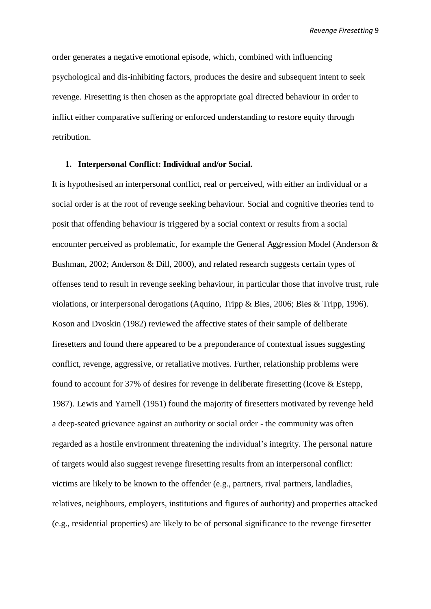order generates a negative emotional episode, which, combined with influencing psychological and dis-inhibiting factors, produces the desire and subsequent intent to seek revenge. Firesetting is then chosen as the appropriate goal directed behaviour in order to inflict either comparative suffering or enforced understanding to restore equity through retribution.

#### **1. Interpersonal Conflict: Individual and/or Social.**

It is hypothesised an interpersonal conflict, real or perceived, with either an individual or a social order is at the root of revenge seeking behaviour. Social and cognitive theories tend to posit that offending behaviour is triggered by a social context or results from a social encounter perceived as problematic, for example the General Aggression Model (Anderson & Bushman, 2002; Anderson & Dill, 2000), and related research suggests certain types of offenses tend to result in revenge seeking behaviour, in particular those that involve trust, rule violations, or interpersonal derogations (Aquino, Tripp & Bies, 2006; Bies & Tripp, 1996). Koson and Dvoskin (1982) reviewed the affective states of their sample of deliberate firesetters and found there appeared to be a preponderance of contextual issues suggesting conflict, revenge, aggressive, or retaliative motives. Further, relationship problems were found to account for 37% of desires for revenge in deliberate firesetting (Icove & Estepp, 1987). Lewis and Yarnell (1951) found the majority of firesetters motivated by revenge held a deep-seated grievance against an authority or social order - the community was often regarded as a hostile environment threatening the individual's integrity. The personal nature of targets would also suggest revenge firesetting results from an interpersonal conflict: victims are likely to be known to the offender (e.g., partners, rival partners, landladies, relatives, neighbours, employers, institutions and figures of authority) and properties attacked (e.g., residential properties) are likely to be of personal significance to the revenge firesetter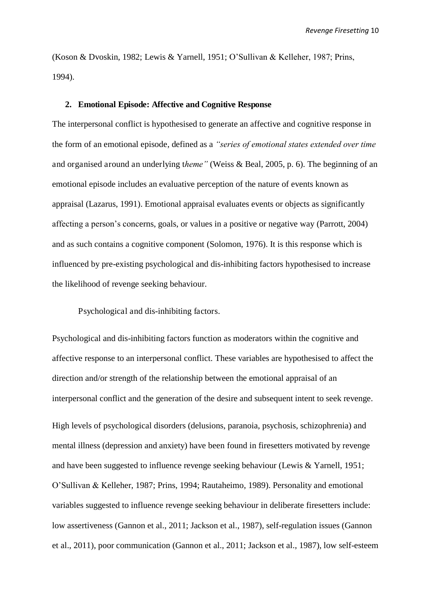(Koson & Dvoskin, 1982; Lewis & Yarnell, 1951; O'Sullivan & Kelleher, 1987; Prins, 1994).

#### **2. Emotional Episode: Affective and Cognitive Response**

The interpersonal conflict is hypothesised to generate an affective and cognitive response in the form of an emotional episode, defined as a *"series of emotional states extended over time*  and organised around an underlying t*heme"* (Weiss & Beal, 2005, p. 6). The beginning of an emotional episode includes an evaluative perception of the nature of events known as appraisal (Lazarus, 1991). Emotional appraisal evaluates events or objects as significantly affecting a person's concerns, goals, or values in a positive or negative way (Parrott, 2004) and as such contains a cognitive component (Solomon, 1976). It is this response which is influenced by pre-existing psychological and dis-inhibiting factors hypothesised to increase the likelihood of revenge seeking behaviour.

Psychological and dis-inhibiting factors.

Psychological and dis-inhibiting factors function as moderators within the cognitive and affective response to an interpersonal conflict. These variables are hypothesised to affect the direction and/or strength of the relationship between the emotional appraisal of an interpersonal conflict and the generation of the desire and subsequent intent to seek revenge.

High levels of psychological disorders (delusions, paranoia, psychosis, schizophrenia) and mental illness (depression and anxiety) have been found in firesetters motivated by revenge and have been suggested to influence revenge seeking behaviour (Lewis & Yarnell, 1951; O'Sullivan & Kelleher, 1987; Prins, 1994; Rautaheimo, 1989). Personality and emotional variables suggested to influence revenge seeking behaviour in deliberate firesetters include: low assertiveness (Gannon et al., 2011; Jackson et al., 1987), self-regulation issues (Gannon et al., 2011), poor communication (Gannon et al., 2011; Jackson et al., 1987), low self-esteem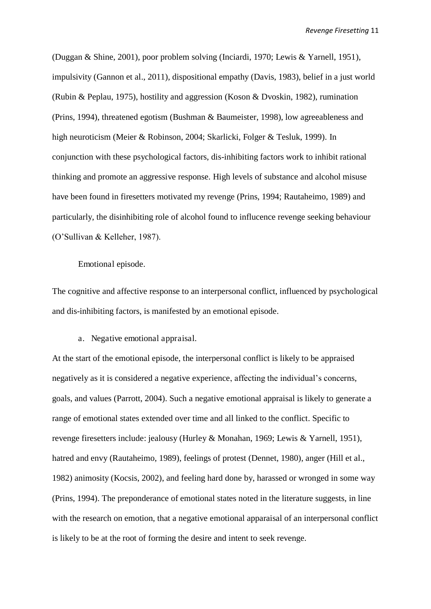(Duggan & Shine, 2001), poor problem solving (Inciardi, 1970; Lewis & Yarnell, 1951), impulsivity (Gannon et al., 2011), dispositional empathy (Davis, 1983), belief in a just world (Rubin & Peplau, 1975), hostility and aggression (Koson & Dvoskin, 1982), rumination (Prins, 1994), threatened egotism (Bushman & Baumeister, 1998), low agreeableness and high neuroticism (Meier & Robinson, 2004; Skarlicki, Folger & Tesluk, 1999). In conjunction with these psychological factors, dis-inhibiting factors work to inhibit rational thinking and promote an aggressive response. High levels of substance and alcohol misuse have been found in firesetters motivated my revenge (Prins, 1994; Rautaheimo, 1989) and particularly, the disinhibiting role of alcohol found to influcence revenge seeking behaviour (O'Sullivan & Kelleher, 1987).

#### Emotional episode.

The cognitive and affective response to an interpersonal conflict, influenced by psychological and dis-inhibiting factors, is manifested by an emotional episode.

a. Negative emotional appraisal.

At the start of the emotional episode, the interpersonal conflict is likely to be appraised negatively as it is considered a negative experience, affecting the individual's concerns, goals, and values (Parrott, 2004). Such a negative emotional appraisal is likely to generate a range of emotional states extended over time and all linked to the conflict. Specific to revenge firesetters include: jealousy (Hurley & Monahan, 1969; Lewis & Yarnell, 1951), hatred and envy (Rautaheimo, 1989), feelings of protest (Dennet, 1980), anger (Hill et al., 1982) animosity (Kocsis, 2002), and feeling hard done by, harassed or wronged in some way (Prins, 1994). The preponderance of emotional states noted in the literature suggests, in line with the research on emotion, that a negative emotional apparaisal of an interpersonal conflict is likely to be at the root of forming the desire and intent to seek revenge.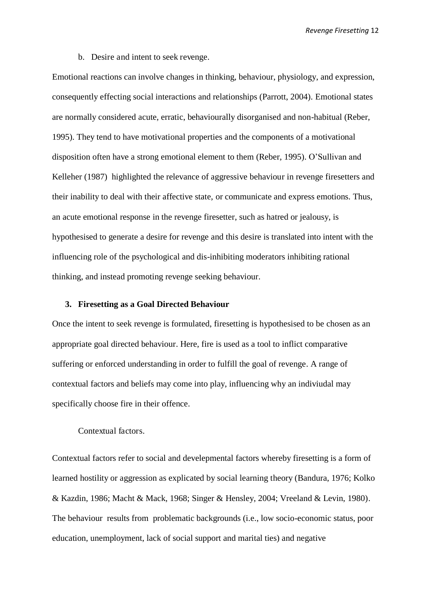b. Desire and intent to seek revenge.

Emotional reactions can involve changes in thinking, behaviour, physiology, and expression, consequently effecting social interactions and relationships (Parrott, 2004). Emotional states are normally considered acute, erratic, behaviourally disorganised and non-habitual (Reber, 1995). They tend to have motivational properties and the components of a motivational disposition often have a strong emotional element to them (Reber, 1995). O'Sullivan and Kelleher (1987) highlighted the relevance of aggressive behaviour in revenge firesetters and their inability to deal with their affective state, or communicate and express emotions. Thus, an acute emotional response in the revenge firesetter, such as hatred or jealousy, is hypothesised to generate a desire for revenge and this desire is translated into intent with the influencing role of the psychological and dis-inhibiting moderators inhibiting rational thinking, and instead promoting revenge seeking behaviour.

#### **3. Firesetting as a Goal Directed Behaviour**

Once the intent to seek revenge is formulated, firesetting is hypothesised to be chosen as an appropriate goal directed behaviour. Here, fire is used as a tool to inflict comparative suffering or enforced understanding in order to fulfill the goal of revenge. A range of contextual factors and beliefs may come into play, influencing why an indiviudal may specifically choose fire in their offence.

#### Contextual factors.

Contextual factors refer to social and develepmental factors whereby firesetting is a form of learned hostility or aggression as explicated by social learning theory (Bandura, 1976; Kolko & Kazdin, 1986; Macht & Mack, 1968; Singer & Hensley, 2004; Vreeland & Levin, 1980). The behaviour results from problematic backgrounds (i.e., low socio-economic status, poor education, unemployment, lack of social support and marital ties) and negative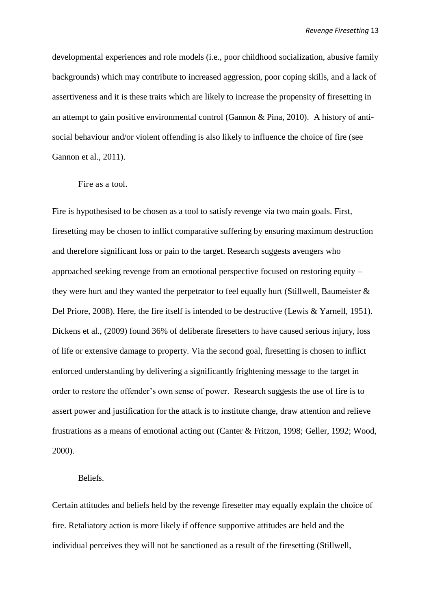developmental experiences and role models (i.e., poor childhood socialization, abusive family backgrounds) which may contribute to increased aggression, poor coping skills, and a lack of assertiveness and it is these traits which are likely to increase the propensity of firesetting in an attempt to gain positive environmental control (Gannon & Pina, 2010). A history of antisocial behaviour and/or violent offending is also likely to influence the choice of fire (see Gannon et al., 2011).

#### Fire as a tool.

Fire is hypothesised to be chosen as a tool to satisfy revenge via two main goals. First, firesetting may be chosen to inflict comparative suffering by ensuring maximum destruction and therefore significant loss or pain to the target. Research suggests avengers who approached seeking revenge from an emotional perspective focused on restoring equity – they were hurt and they wanted the perpetrator to feel equally hurt (Stillwell, Baumeister  $\&$ Del Priore, 2008). Here, the fire itself is intended to be destructive (Lewis & Yarnell, 1951). Dickens et al., (2009) found 36% of deliberate firesetters to have caused serious injury, loss of life or extensive damage to property. Via the second goal, firesetting is chosen to inflict enforced understanding by delivering a significantly frightening message to the target in order to restore the offender's own sense of power. Research suggests the use of fire is to assert power and justification for the attack is to institute change, draw attention and relieve frustrations as a means of emotional acting out (Canter & Fritzon, 1998; Geller, 1992; Wood, 2000).

#### Beliefs.

Certain attitudes and beliefs held by the revenge firesetter may equally explain the choice of fire. Retaliatory action is more likely if offence supportive attitudes are held and the individual perceives they will not be sanctioned as a result of the firesetting (Stillwell,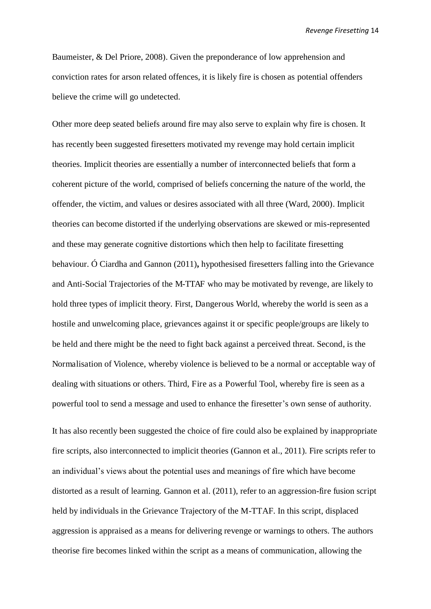Baumeister, & Del Priore, 2008). Given the preponderance of low apprehension and conviction rates for arson related offences, it is likely fire is chosen as potential offenders believe the crime will go undetected.

Other more deep seated beliefs around fire may also serve to explain why fire is chosen. It has recently been suggested firesetters motivated my revenge may hold certain implicit theories. Implicit theories are essentially a number of interconnected beliefs that form a coherent picture of the world, comprised of beliefs concerning the nature of the world, the offender, the victim, and values or desires associated with all three (Ward, 2000). Implicit theories can become distorted if the underlying observations are skewed or mis-represented and these may generate cognitive distortions which then help to facilitate firesetting behaviour. Ó Ciardha and Gannon (2011)**,** hypothesised firesetters falling into the Grievance and Anti-Social Trajectories of the M-TTAF who may be motivated by revenge, are likely to hold three types of implicit theory. First, Dangerous World, whereby the world is seen as a hostile and unwelcoming place, grievances against it or specific people/groups are likely to be held and there might be the need to fight back against a perceived threat. Second, is the Normalisation of Violence, whereby violence is believed to be a normal or acceptable way of dealing with situations or others. Third, Fire as a Powerful Tool, whereby fire is seen as a powerful tool to send a message and used to enhance the firesetter's own sense of authority.

It has also recently been suggested the choice of fire could also be explained by inappropriate fire scripts, also interconnected to implicit theories (Gannon et al., 2011). Fire scripts refer to an individual's views about the potential uses and meanings of fire which have become distorted as a result of learning. Gannon et al. (2011), refer to an aggression-fire fusion script held by individuals in the Grievance Trajectory of the M-TTAF. In this script, displaced aggression is appraised as a means for delivering revenge or warnings to others. The authors theorise fire becomes linked within the script as a means of communication, allowing the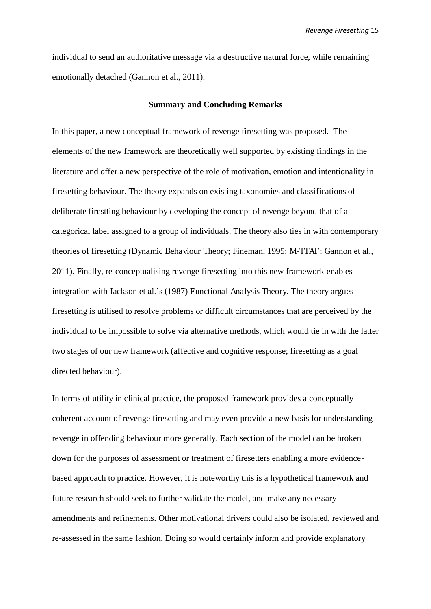individual to send an authoritative message via a destructive natural force, while remaining emotionally detached (Gannon et al., 2011).

#### **Summary and Concluding Remarks**

In this paper, a new conceptual framework of revenge firesetting was proposed. The elements of the new framework are theoretically well supported by existing findings in the literature and offer a new perspective of the role of motivation, emotion and intentionality in firesetting behaviour. The theory expands on existing taxonomies and classifications of deliberate firestting behaviour by developing the concept of revenge beyond that of a categorical label assigned to a group of individuals. The theory also ties in with contemporary theories of firesetting (Dynamic Behaviour Theory; Fineman, 1995; M-TTAF; Gannon et al., 2011). Finally, re-conceptualising revenge firesetting into this new framework enables integration with Jackson et al.'s (1987) Functional Analysis Theory. The theory argues firesetting is utilised to resolve problems or difficult circumstances that are perceived by the individual to be impossible to solve via alternative methods, which would tie in with the latter two stages of our new framework (affective and cognitive response; firesetting as a goal directed behaviour).

In terms of utility in clinical practice, the proposed framework provides a conceptually coherent account of revenge firesetting and may even provide a new basis for understanding revenge in offending behaviour more generally. Each section of the model can be broken down for the purposes of assessment or treatment of firesetters enabling a more evidencebased approach to practice. However, it is noteworthy this is a hypothetical framework and future research should seek to further validate the model, and make any necessary amendments and refinements. Other motivational drivers could also be isolated, reviewed and re-assessed in the same fashion. Doing so would certainly inform and provide explanatory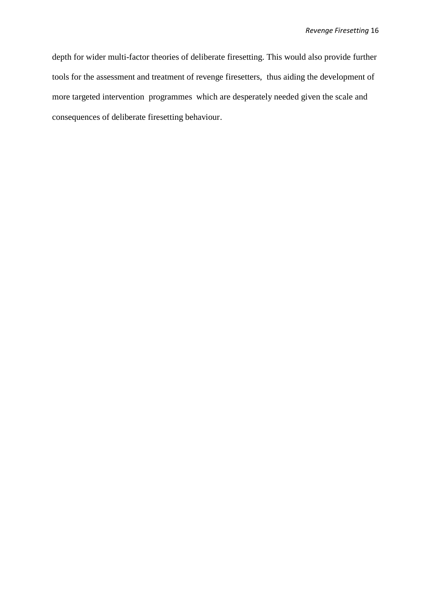depth for wider multi-factor theories of deliberate firesetting. This would also provide further tools for the assessment and treatment of revenge firesetters, thus aiding the development of more targeted intervention programmes which are desperately needed given the scale and consequences of deliberate firesetting behaviour.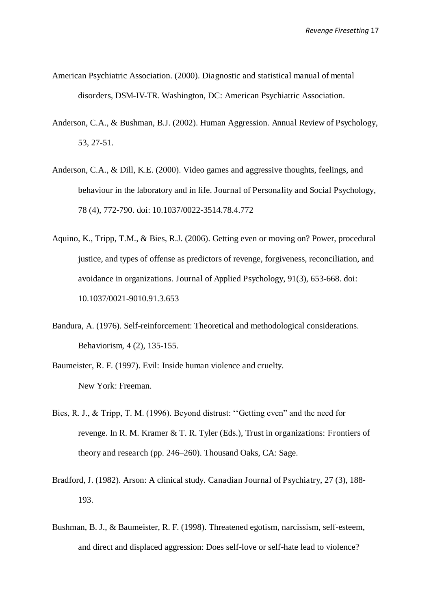- American Psychiatric Association. (2000). Diagnostic and statistical manual of mental disorders, DSM-IV-TR. Washington, DC: American Psychiatric Association.
- Anderson, C.A., & Bushman, B.J. (2002). Human Aggression. Annual Review of Psychology, 53, 27-51.
- Anderson, C.A., & Dill, K.E. (2000). Video games and aggressive thoughts, feelings, and behaviour in the laboratory and in life. Journal of Personality and Social Psychology, 78 (4), 772-790. doi: 10.1037/0022-3514.78.4.772
- Aquino, K., Tripp, T.M., & Bies, R.J. (2006). Getting even or moving on? Power, procedural justice, and types of offense as predictors of revenge, forgiveness, reconciliation, and avoidance in organizations. Journal of Applied Psychology, 91(3), 653-668. doi: 10.1037/0021-9010.91.3.653
- Bandura, A. (1976). Self-reinforcement: Theoretical and methodological considerations. Behaviorism, 4 (2), 135-155.
- Baumeister, R. F. (1997). Evil: Inside human violence and cruelty. New York: Freeman.
- Bies, R. J., & Tripp, T. M. (1996). Beyond distrust: ''Getting even" and the need for revenge. In R. M. Kramer & T. R. Tyler (Eds.), Trust in organizations: Frontiers of theory and research (pp. 246–260). Thousand Oaks, CA: Sage.
- Bradford, J. (1982). Arson: A clinical study. Canadian Journal of Psychiatry, 27 (3), 188- 193.
- Bushman, B. J., & Baumeister, R. F. (1998). Threatened egotism, narcissism, self-esteem, and direct and displaced aggression: Does self-love or self-hate lead to violence?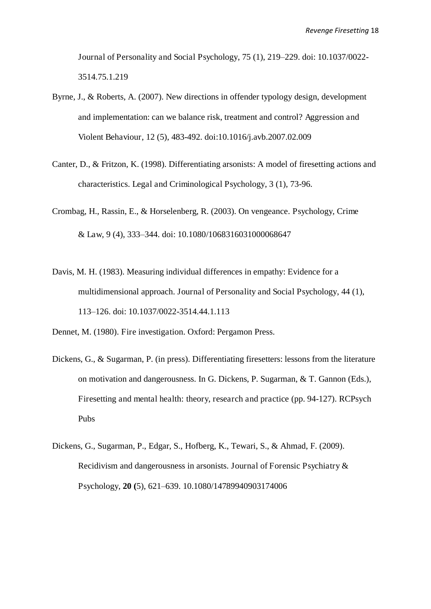Journal of Personality and Social Psychology, 75 (1), 219–229. doi: 10.1037/0022- 3514.75.1.219

- Byrne, J., & Roberts, A. (2007). New directions in offender typology design, development and implementation: can we balance risk, treatment and control? Aggression and Violent Behaviour, 12 (5), 483-492. doi:10.1016/j.avb.2007.02.009
- Canter, D., & Fritzon, K. (1998). Differentiating arsonists: A model of firesetting actions and characteristics. Legal and Criminological Psychology, 3 (1), 73-96.
- Crombag, H., Rassin, E., & Horselenberg, R. (2003). On vengeance. Psychology, Crime & Law, 9 (4), 333–344. doi: 10.1080/1068316031000068647
- Davis, M. H. (1983). Measuring individual differences in empathy: Evidence for a multidimensional approach. Journal of Personality and Social Psychology, 44 (1), 113–126. doi: 10.1037/0022-3514.44.1.113
- Dennet, M. (1980). Fire investigation. Oxford: Pergamon Press.
- Dickens, G., & Sugarman, P. (in press). Differentiating firesetters: lessons from the literature on motivation and dangerousness. In G. Dickens, P. Sugarman, & T. Gannon (Eds.), Firesetting and mental health: theory, research and practice (pp. 94-127). RCPsych Pubs
- Dickens, G., Sugarman, P., Edgar, S., Hofberg, K., Tewari, S., & Ahmad, F. (2009). Recidivism and dangerousness in arsonists. Journal of Forensic Psychiatry & Psychology, **20 (**5), 621–639. 10.1080/14789940903174006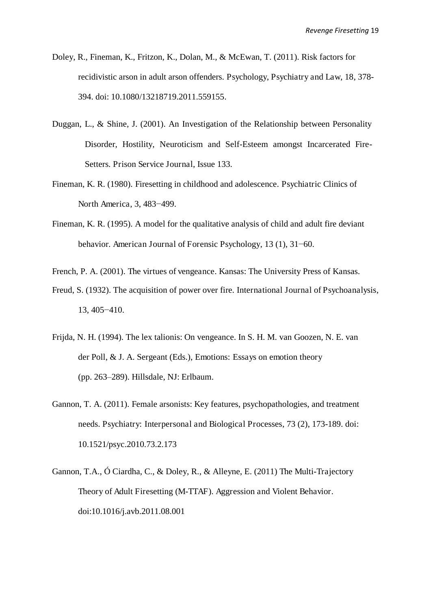- Doley, R., Fineman, K., Fritzon, K., Dolan, M., & McEwan, T. (2011). Risk factors for recidivistic arson in adult arson offenders. Psychology, Psychiatry and Law, 18, 378- 394. doi: 10.1080/13218719.2011.559155.
- Duggan, L., & Shine, J. (2001). An Investigation of the Relationship between Personality Disorder, Hostility, Neuroticism and Self-Esteem amongst Incarcerated Fire-Setters. Prison Service Journal, Issue 133.
- Fineman, K. R. (1980). Firesetting in childhood and adolescence. Psychiatric Clinics of North America, 3, 483−499.
- Fineman, K. R. (1995). A model for the qualitative analysis of child and adult fire deviant behavior. American Journal of Forensic Psychology, 13 (1), 31−60.
- French, P. A. (2001). The virtues of vengeance. Kansas: The University Press of Kansas.
- Freud, S. (1932). The acquisition of power over fire. International Journal of Psychoanalysis, 13, 405−410.
- Frijda, N. H. (1994). The lex talionis: On vengeance. In S. H. M. van Goozen, N. E. van der Poll, & J. A. Sergeant (Eds.), Emotions: Essays on emotion theory (pp. 263–289). Hillsdale, NJ: Erlbaum.
- Gannon, T. A. (2011). Female arsonists: Key features, psychopathologies, and treatment needs. Psychiatry: Interpersonal and Biological Processes, 73 (2), 173-189. doi: 10.1521/psyc.2010.73.2.173
- Gannon, T.A., Ó Ciardha, C., & Doley, R., & Alleyne, E. (2011) The Multi-Trajectory Theory of Adult Firesetting (M-TTAF). Aggression and Violent Behavior. doi:10.1016/j.avb.2011.08.001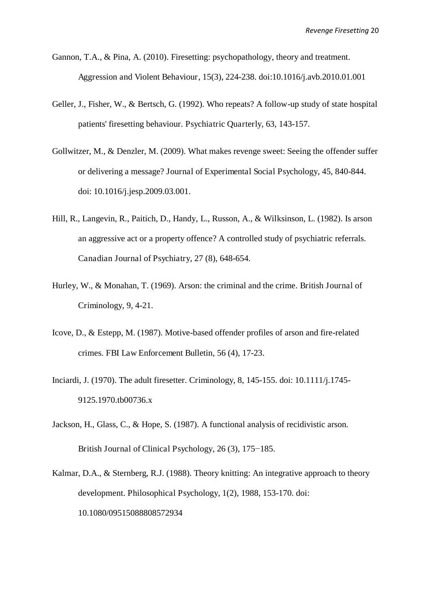- Gannon, T.A., & Pina, A. (2010). Firesetting: psychopathology, theory and treatment. Aggression and Violent Behaviour, 15(3), 224-238. doi:10.1016/j.avb.2010.01.001
- Geller, J., Fisher, W., & Bertsch, G. (1992). Who repeats? A follow-up study of state hospital patients' firesetting behaviour. Psychiatric Quarterly, 63, 143-157.
- Gollwitzer, M., & Denzler, M. (2009). What makes revenge sweet: Seeing the offender suffer or delivering a message? Journal of Experimental Social Psychology, 45, 840-844. doi: 10.1016/j.jesp.2009.03.001.
- Hill, R., Langevin, R., Paitich, D., Handy, L., Russon, A., & Wilksinson, L. (1982). Is arson an aggressive act or a property offence? A controlled study of psychiatric referrals. Canadian Journal of Psychiatry, 27 (8), 648-654.
- Hurley, W., & Monahan, T. (1969). Arson: the criminal and the crime. British Journal of Criminology, 9, 4-21.
- Icove, D., & Estepp, M. (1987). Motive-based offender profiles of arson and fire-related crimes. FBI Law Enforcement Bulletin, 56 (4), 17-23.
- Inciardi, J. (1970). The adult firesetter. Criminology, 8, 145-155. doi: 10.1111/j.1745- 9125.1970.tb00736.x
- Jackson, H., Glass, C., & Hope, S. (1987). A functional analysis of recidivistic arson. British Journal of Clinical Psychology, 26 (3), 175−185.
- Kalmar, D.A., & Sternberg, R.J. (1988). Theory knitting: An integrative approach to theory development. Philosophical Psychology, 1(2), 1988, 153-170. doi: 10.1080/09515088808572934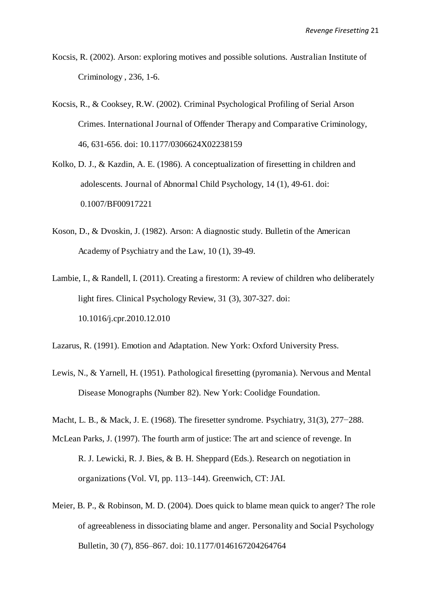- Kocsis, R. (2002). Arson: exploring motives and possible solutions. Australian Institute of Criminology , 236, 1-6.
- Kocsis, R., & Cooksey, R.W. (2002). Criminal Psychological Profiling of Serial Arson Crimes. International Journal of Offender Therapy and Comparative Criminology, 46, 631-656. doi: 10.1177/0306624X02238159
- Kolko, D. J., & Kazdin, A. E. (1986). A conceptualization of firesetting in children and adolescents. Journal of Abnormal Child Psychology, 14 (1), 49-61. doi: 0.1007/BF00917221
- Koson, D., & Dvoskin, J. (1982). Arson: A diagnostic study. Bulletin of the American Academy of Psychiatry and the Law, 10 (1), 39-49.
- Lambie, I., & Randell, I. (2011). Creating a firestorm: A review of children who deliberately light fires. Clinical Psychology Review, 31 (3), 307-327. doi: 10.1016/j.cpr.2010.12.010

Lazarus, R. (1991). Emotion and Adaptation. New York: Oxford University Press.

- Lewis, N., & Yarnell, H. (1951). Pathological firesetting (pyromania). Nervous and Mental Disease Monographs (Number 82). New York: Coolidge Foundation.
- Macht, L. B., & Mack, J. E. (1968). The firesetter syndrome. Psychiatry, 31(3), 277−288.
- McLean Parks, J. (1997). The fourth arm of justice: The art and science of revenge. In R. J. Lewicki, R. J. Bies, & B. H. Sheppard (Eds.). Research on negotiation in organizations (Vol. VI, pp. 113–144). Greenwich, CT: JAI.
- Meier, B. P., & Robinson, M. D. (2004). Does quick to blame mean quick to anger? The role of agreeableness in dissociating blame and anger. Personality and Social Psychology Bulletin, 30 (7), 856–867. doi: 10.1177/0146167204264764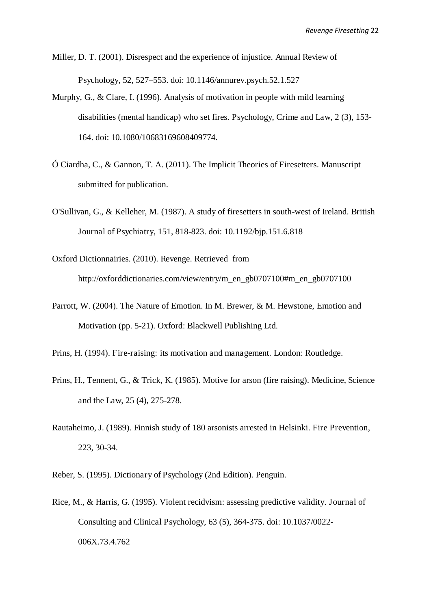Miller, D. T. (2001). Disrespect and the experience of injustice. Annual Review of Psychology, 52, 527–553. doi: 10.1146/annurev.psych.52.1.527

- Murphy, G., & Clare, I. (1996). Analysis of motivation in people with mild learning disabilities (mental handicap) who set fires. Psychology, Crime and Law, 2 (3), 153- 164. doi: 10.1080/10683169608409774.
- Ó Ciardha, C., & Gannon, T. A. (2011). The Implicit Theories of Firesetters. Manuscript submitted for publication.
- O'Sullivan, G., & Kelleher, M. (1987). A study of firesetters in south-west of Ireland. British Journal of Psychiatry, 151, 818-823. doi: 10.1192/bjp.151.6.818
- Oxford Dictionnairies. (2010). Revenge. Retrieved from http://oxforddictionaries.com/view/entry/m\_en\_gb0707100#m\_en\_gb0707100
- Parrott, W. (2004). The Nature of Emotion. In M. Brewer, & M. Hewstone, Emotion and Motivation (pp. 5-21). Oxford: Blackwell Publishing Ltd.
- Prins, H. (1994). Fire-raising: its motivation and management. London: Routledge.
- Prins, H., Tennent, G., & Trick, K. (1985). Motive for arson (fire raising). Medicine, Science and the Law, 25 (4), 275-278.
- Rautaheimo, J. (1989). Finnish study of 180 arsonists arrested in Helsinki. Fire Prevention, 223, 30-34.
- Reber, S. (1995). Dictionary of Psychology (2nd Edition). Penguin.
- Rice, M., & Harris, G. (1995). Violent recidvism: assessing predictive validity. Journal of Consulting and Clinical Psychology, 63 (5), 364-375. doi: 10.1037/0022- 006X.73.4.762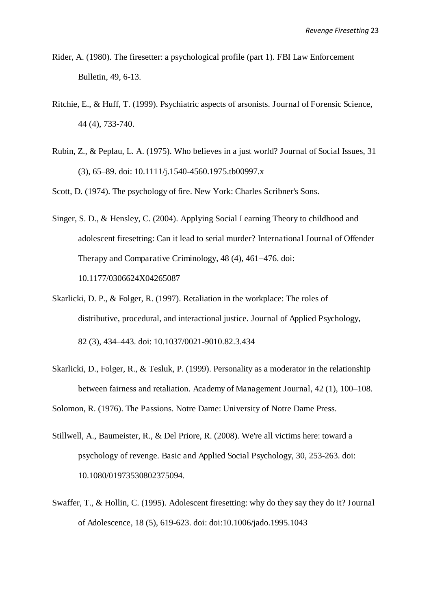- Rider, A. (1980). The firesetter: a psychological profile (part 1). FBI Law Enforcement Bulletin, 49, 6-13.
- Ritchie, E., & Huff, T. (1999). Psychiatric aspects of arsonists. Journal of Forensic Science, 44 (4), 733-740.
- Rubin, Z., & Peplau, L. A. (1975). Who believes in a just world? Journal of Social Issues, 31 (3), 65–89. doi: 10.1111/j.1540-4560.1975.tb00997.x

Scott, D. (1974). The psychology of fire. New York: Charles Scribner's Sons.

- Singer, S. D., & Hensley, C. (2004). Applying Social Learning Theory to childhood and adolescent firesetting: Can it lead to serial murder? International Journal of Offender Therapy and Comparative Criminology, 48 (4), 461−476. doi: 10.1177/0306624X04265087
- Skarlicki, D. P., & Folger, R. (1997). Retaliation in the workplace: The roles of distributive, procedural, and interactional justice. Journal of Applied Psychology, 82 (3), 434–443. doi: 10.1037/0021-9010.82.3.434
- Skarlicki, D., Folger, R., & Tesluk, P. (1999). Personality as a moderator in the relationship between fairness and retaliation. Academy of Management Journal, 42 (1), 100–108.

Solomon, R. (1976). The Passions. Notre Dame: University of Notre Dame Press.

- Stillwell, A., Baumeister, R., & Del Priore, R. (2008). We're all victims here: toward a psychology of revenge. Basic and Applied Social Psychology, 30, 253-263. doi: 10.1080/01973530802375094.
- Swaffer, T., & Hollin, C. (1995). Adolescent firesetting: why do they say they do it? Journal of Adolescence, 18 (5), 619-623. doi: doi:10.1006/jado.1995.1043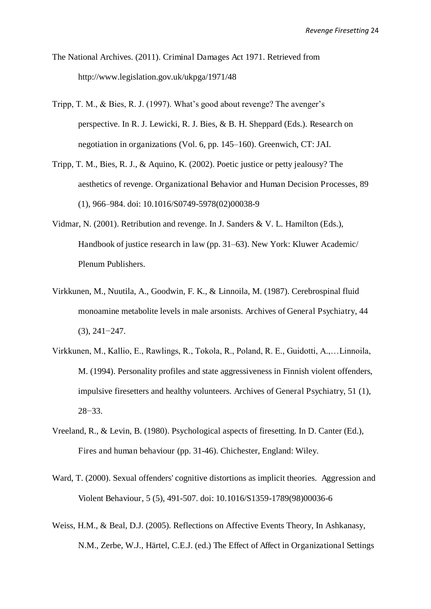- The National Archives. (2011). Criminal Damages Act 1971. Retrieved from http://www.legislation.gov.uk/ukpga/1971/48
- Tripp, T. M., & Bies, R. J. (1997). What's good about revenge? The avenger's perspective. In R. J. Lewicki, R. J. Bies, & B. H. Sheppard (Eds.). Research on negotiation in organizations (Vol. 6, pp. 145–160). Greenwich, CT: JAI.
- Tripp, T. M., Bies, R. J., & Aquino, K. (2002). Poetic justice or petty jealousy? The aesthetics of revenge. Organizational Behavior and Human Decision Processes, 89 (1), 966–984. doi: 10.1016/S0749-5978(02)00038-9
- Vidmar, N. (2001). Retribution and revenge. In J. Sanders & V. L. Hamilton (Eds.), Handbook of justice research in law (pp. 31–63). New York: Kluwer Academic/ Plenum Publishers.
- Virkkunen, M., Nuutila, A., Goodwin, F. K., & Linnoila, M. (1987). Cerebrospinal fluid monoamine metabolite levels in male arsonists. Archives of General Psychiatry, 44 (3), 241−247.
- Virkkunen, M., Kallio, E., Rawlings, R., Tokola, R., Poland, R. E., Guidotti, A.,…Linnoila, M. (1994). Personality profiles and state aggressiveness in Finnish violent offenders, impulsive firesetters and healthy volunteers. Archives of General Psychiatry, 51 (1), 28−33.
- Vreeland, R., & Levin, B. (1980). Psychological aspects of firesetting. In D. Canter (Ed.), Fires and human behaviour (pp. 31-46). Chichester, England: Wiley.
- Ward, T. (2000). Sexual offenders' cognitive distortions as implicit theories. Aggression and Violent Behaviour, 5 (5), 491-507. doi: 10.1016/S1359-1789(98)00036-6
- Weiss, H.M., & Beal, D.J. (2005). Reflections on Affective Events Theory, In Ashkanasy, N.M., Zerbe, W.J., Härtel, C.E.J. (ed.) The Effect of Affect in Organizational Settings